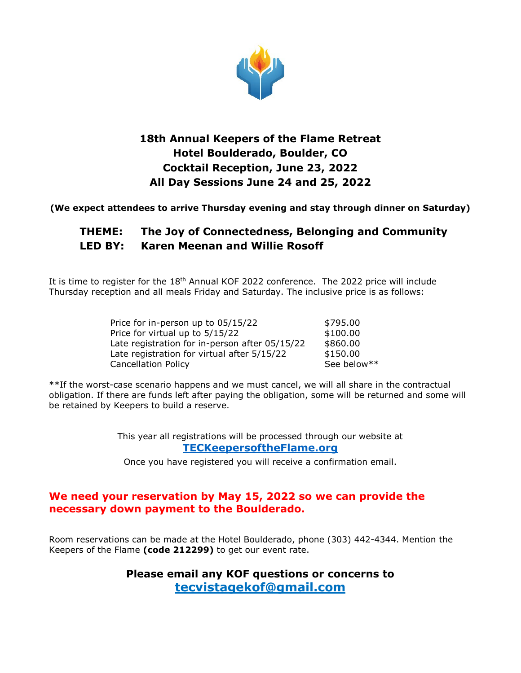

# **18th Annual Keepers of the Flame Retreat Hotel Boulderado, Boulder, CO Cocktail Reception, June 23, 2022 All Day Sessions June 24 and 25, 2022**

**(We expect attendees to arrive Thursday evening and stay through dinner on Saturday)**

# **THEME: The Joy of Connectedness, Belonging and Community LED BY: Karen Meenan and Willie Rosoff**

It is time to register for the 18<sup>th</sup> Annual KOF 2022 conference. The 2022 price will include Thursday reception and all meals Friday and Saturday. The inclusive price is as follows:

| Price for in-person up to 05/15/22             | \$795.00    |
|------------------------------------------------|-------------|
| Price for virtual up to 5/15/22                | \$100.00    |
| Late registration for in-person after 05/15/22 | \$860.00    |
| Late registration for virtual after 5/15/22    | \$150.00    |
| <b>Cancellation Policy</b>                     | See below** |

\*\*If the worst-case scenario happens and we must cancel, we will all share in the contractual obligation. If there are funds left after paying the obligation, some will be returned and some will be retained by Keepers to build a reserve.

> This year all registrations will be processed through our website at **[TECKeepersoftheFlame.org](https://www.teckeepersoftheflame.org/)**

Once you have registered you will receive a confirmation email.

### **We need your reservation by May 15, 2022 so we can provide the necessary down payment to the Boulderado.**

Room reservations can be made at the Hotel Boulderado, phone (303) 442-4344. Mention the Keepers of the Flame **(code 212299)** to get our event rate.

> **Please email any KOF questions or concerns to [tecvistagekof@gmail.com](mailto:tecvistagekof@gmail.com)**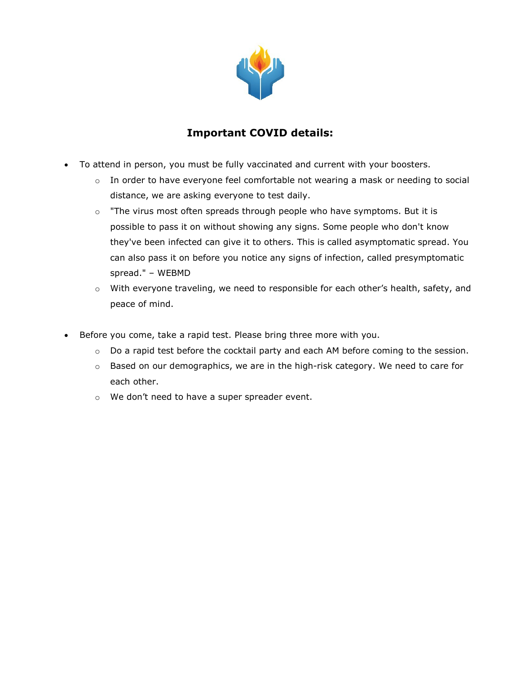

### **Important COVID details:**

- To attend in person, you must be fully vaccinated and current with your boosters.
	- o In order to have everyone feel comfortable not wearing a mask or needing to social distance, we are asking everyone to test daily.
	- $\circ$  "The virus most often spreads through people who have symptoms. But it is possible to pass it on without showing any signs. Some people who don't know they've been infected can give it to others. This is called asymptomatic spread. You can also pass it on before you notice any signs of infection, called presymptomatic spread." – WEBMD
	- $\circ$  With everyone traveling, we need to responsible for each other's health, safety, and peace of mind.
- Before you come, take a rapid test. Please bring three more with you.
	- o Do a rapid test before the cocktail party and each AM before coming to the session.
	- $\circ$  Based on our demographics, we are in the high-risk category. We need to care for each other.
	- o We don't need to have a super spreader event.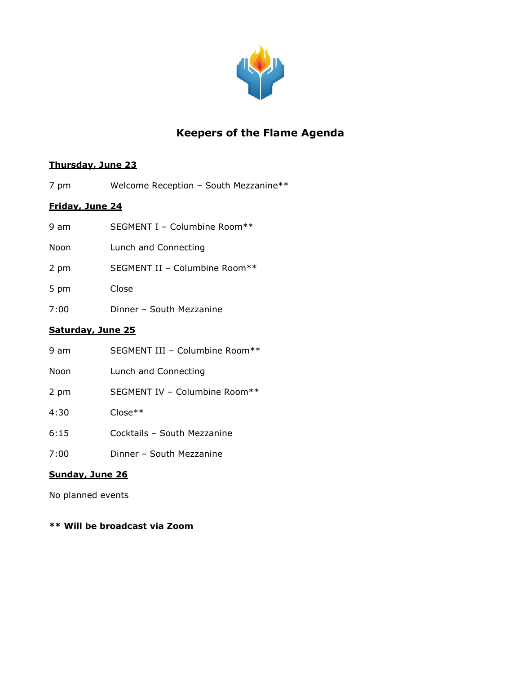

# **Keepers of the Flame Agenda**

#### **Thursday, June 23**

7 pm Welcome Reception – South Mezzanine\*\*

#### **Friday, June 24**

| Saturday, June 25 |                               |  |
|-------------------|-------------------------------|--|
| 7:00              | Dinner - South Mezzanine      |  |
| 5 pm              | Close                         |  |
| 2 pm              | SEGMENT II - Columbine Room** |  |
| Noon              | Lunch and Connecting          |  |
| 9 am              | SEGMENT I - Columbine Room**  |  |

| 9 am | SEGMENT III - Columbine Room** |
|------|--------------------------------|
| Noon | Lunch and Connecting           |
| 2 pm | SEGMENT IV - Columbine Room**  |
| 4:30 | $Close**$                      |
| 6:15 | Cocktails - South Mezzanine    |
| 7:00 | Dinner - South Mezzanine       |

#### **Sunday, June 26**

No planned events

**\*\* Will be broadcast via Zoom**